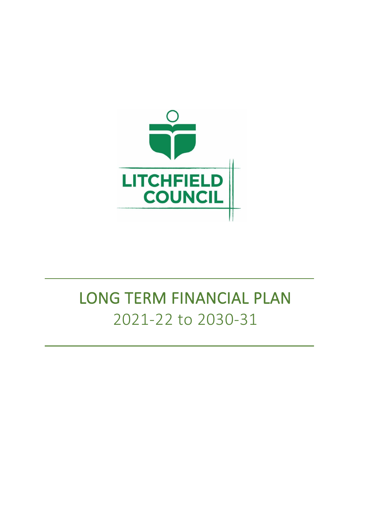

# LONG TERM FINANCIAL PLAN 2021-22 to 2030-31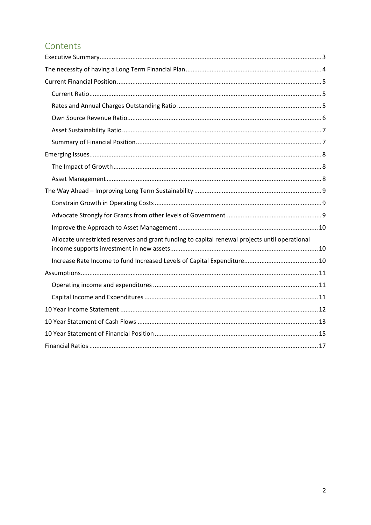## Contents

| Allocate unrestricted reserves and grant funding to capital renewal projects until operational |
|------------------------------------------------------------------------------------------------|
|                                                                                                |
|                                                                                                |
|                                                                                                |
|                                                                                                |
|                                                                                                |
|                                                                                                |
|                                                                                                |
|                                                                                                |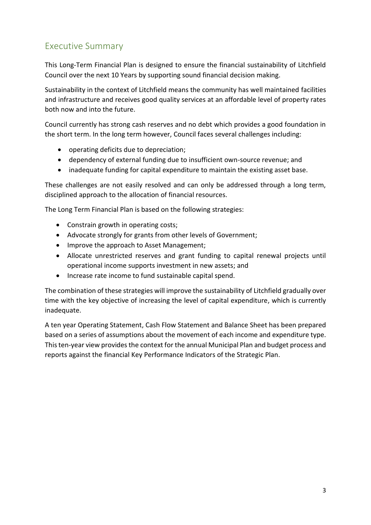# <span id="page-2-0"></span>Executive Summary

This Long-Term Financial Plan is designed to ensure the financial sustainability of Litchfield Council over the next 10 Years by supporting sound financial decision making.

Sustainability in the context of Litchfield means the community has well maintained facilities and infrastructure and receives good quality services at an affordable level of property rates both now and into the future.

Council currently has strong cash reserves and no debt which provides a good foundation in the short term. In the long term however, Council faces several challenges including:

- operating deficits due to depreciation;
- dependency of external funding due to insufficient own-source revenue; and
- inadequate funding for capital expenditure to maintain the existing asset base.

These challenges are not easily resolved and can only be addressed through a long term, disciplined approach to the allocation of financial resources.

The Long Term Financial Plan is based on the following strategies:

- Constrain growth in operating costs;
- Advocate strongly for grants from other levels of Government;
- Improve the approach to Asset Management;
- Allocate unrestricted reserves and grant funding to capital renewal projects until operational income supports investment in new assets; and
- Increase rate income to fund sustainable capital spend.

The combination of these strategies will improve the sustainability of Litchfield gradually over time with the key objective of increasing the level of capital expenditure, which is currently inadequate.

A ten year Operating Statement, Cash Flow Statement and Balance Sheet has been prepared based on a series of assumptions about the movement of each income and expenditure type. This ten-year view provides the context for the annual Municipal Plan and budget process and reports against the financial Key Performance Indicators of the Strategic Plan.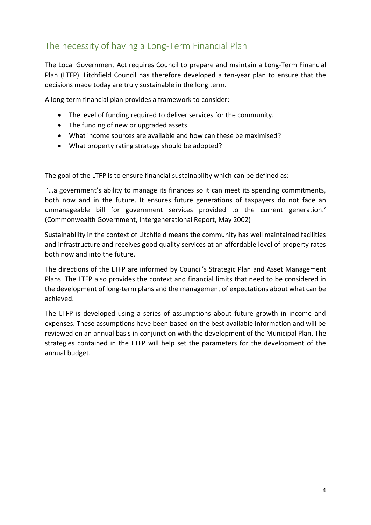# <span id="page-3-0"></span>The necessity of having a Long-Term Financial Plan

The Local Government Act requires Council to prepare and maintain a Long-Term Financial Plan (LTFP). Litchfield Council has therefore developed a ten-year plan to ensure that the decisions made today are truly sustainable in the long term.

A long-term financial plan provides a framework to consider:

- The level of funding required to deliver services for the community.
- The funding of new or upgraded assets.
- What income sources are available and how can these be maximised?
- What property rating strategy should be adopted?

The goal of the LTFP is to ensure financial sustainability which can be defined as:

'…a government's ability to manage its finances so it can meet its spending commitments, both now and in the future. It ensures future generations of taxpayers do not face an unmanageable bill for government services provided to the current generation.' (Commonwealth Government, Intergenerational Report, May 2002)

Sustainability in the context of Litchfield means the community has well maintained facilities and infrastructure and receives good quality services at an affordable level of property rates both now and into the future.

The directions of the LTFP are informed by Council's Strategic Plan and Asset Management Plans. The LTFP also provides the context and financial limits that need to be considered in the development of long-term plans and the management of expectations about what can be achieved.

The LTFP is developed using a series of assumptions about future growth in income and expenses. These assumptions have been based on the best available information and will be reviewed on an annual basis in conjunction with the development of the Municipal Plan. The strategies contained in the LTFP will help set the parameters for the development of the annual budget.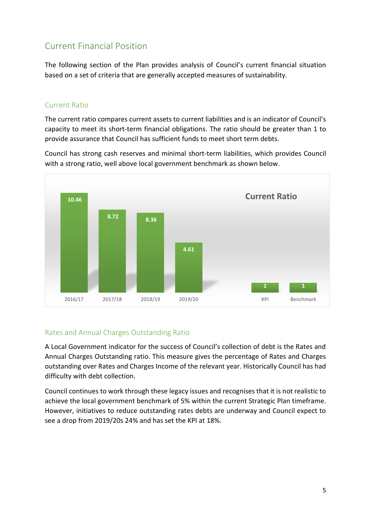## <span id="page-4-0"></span>Current Financial Position

The following section of the Plan provides analysis of Council's current financial situation based on a set of criteria that are generally accepted measures of sustainability.

#### <span id="page-4-1"></span>Current Ratio

The current ratio compares current assets to current liabilities and is an indicator of Council's capacity to meet its short-term financial obligations. The ratio should be greater than 1 to provide assurance that Council has sufficient funds to meet short term debts.

Council has strong cash reserves and minimal short-term liabilities, which provides Council with a strong ratio, well above local government benchmark as shown below.



#### <span id="page-4-2"></span>Rates and Annual Charges Outstanding Ratio

A Local Government indicator for the success of Council's collection of debt is the Rates and Annual Charges Outstanding ratio. This measure gives the percentage of Rates and Charges outstanding over Rates and Charges Income of the relevant year. Historically Council has had difficulty with debt collection.

Council continues to work through these legacy issues and recognises that it is not realistic to achieve the local government benchmark of 5% within the current Strategic Plan timeframe. However, initiatives to reduce outstanding rates debts are underway and Council expect to see a drop from 2019/20s 24% and has set the KPI at 18%.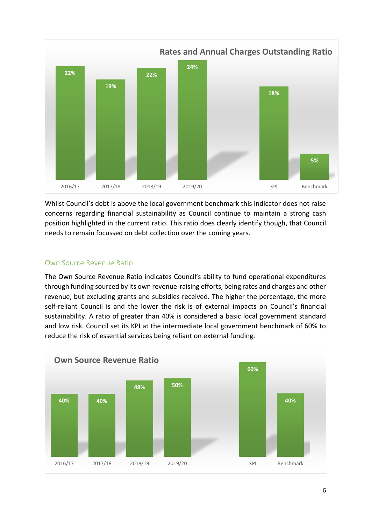

Whilst Council's debt is above the local government benchmark this indicator does not raise concerns regarding financial sustainability as Council continue to maintain a strong cash position highlighted in the current ratio. This ratio does clearly identify though, that Council needs to remain focussed on debt collection over the coming years.

#### <span id="page-5-0"></span>Own Source Revenue Ratio

The Own Source Revenue Ratio indicates Council's ability to fund operational expenditures through funding sourced by its own revenue-raising efforts, being rates and charges and other revenue, but excluding grants and subsidies received. The higher the percentage, the more self-reliant Council is and the lower the risk is of external impacts on Council's financial sustainability. A ratio of greater than 40% is considered a basic local government standard and low risk. Council set its KPI at the intermediate local government benchmark of 60% to reduce the risk of essential services being reliant on external funding.

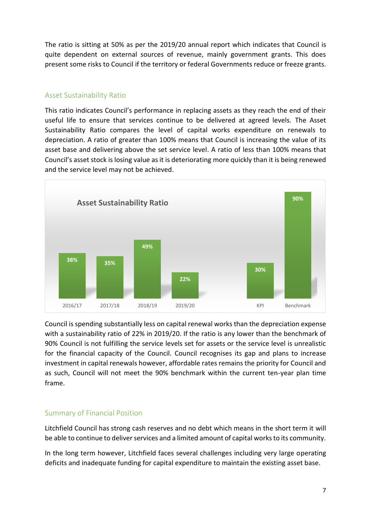The ratio is sitting at 50% as per the 2019/20 annual report which indicates that Council is quite dependent on external sources of revenue, mainly government grants. This does present some risks to Council if the territory or federal Governments reduce or freeze grants.

#### <span id="page-6-0"></span>Asset Sustainability Ratio

This ratio indicates Council's performance in replacing assets as they reach the end of their useful life to ensure that services continue to be delivered at agreed levels. The Asset Sustainability Ratio compares the level of capital works expenditure on renewals to depreciation. A ratio of greater than 100% means that Council is increasing the value of its asset base and delivering above the set service level. A ratio of less than 100% means that Council's asset stock is losing value as it is deteriorating more quickly than it is being renewed and the service level may not be achieved.



Council is spending substantially less on capital renewal works than the depreciation expense with a sustainability ratio of 22% in 2019/20. If the ratio is any lower than the benchmark of 90% Council is not fulfilling the service levels set for assets or the service level is unrealistic for the financial capacity of the Council. Council recognises its gap and plans to increase investment in capital renewals however, affordable rates remains the priority for Council and as such, Council will not meet the 90% benchmark within the current ten-year plan time frame.

#### <span id="page-6-1"></span>Summary of Financial Position

Litchfield Council has strong cash reserves and no debt which means in the short term it will be able to continue to deliver services and a limited amount of capital works to its community.

In the long term however, Litchfield faces several challenges including very large operating deficits and inadequate funding for capital expenditure to maintain the existing asset base.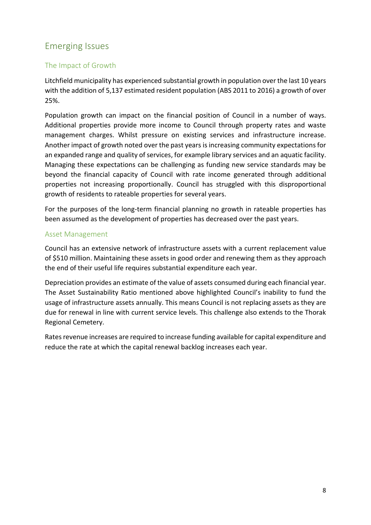# <span id="page-7-0"></span>Emerging Issues

### <span id="page-7-1"></span>The Impact of Growth

Litchfield municipality has experienced substantial growth in population over the last 10 years with the addition of 5,137 estimated resident population (ABS 2011 to 2016) a growth of over 25%.

Population growth can impact on the financial position of Council in a number of ways. Additional properties provide more income to Council through property rates and waste management charges. Whilst pressure on existing services and infrastructure increase. Another impact of growth noted over the past years is increasing community expectations for an expanded range and quality of services, for example library services and an aquatic facility. Managing these expectations can be challenging as funding new service standards may be beyond the financial capacity of Council with rate income generated through additional properties not increasing proportionally. Council has struggled with this disproportional growth of residents to rateable properties for several years.

For the purposes of the long-term financial planning no growth in rateable properties has been assumed as the development of properties has decreased over the past years.

### <span id="page-7-2"></span>Asset Management

Council has an extensive network of infrastructure assets with a current replacement value of \$510 million. Maintaining these assets in good order and renewing them as they approach the end of their useful life requires substantial expenditure each year.

Depreciation provides an estimate of the value of assets consumed during each financial year. The Asset Sustainability Ratio mentioned above highlighted Council's inability to fund the usage of infrastructure assets annually. This means Council is not replacing assets as they are due for renewal in line with current service levels. This challenge also extends to the Thorak Regional Cemetery.

Rates revenue increases are required to increase funding available for capital expenditure and reduce the rate at which the capital renewal backlog increases each year.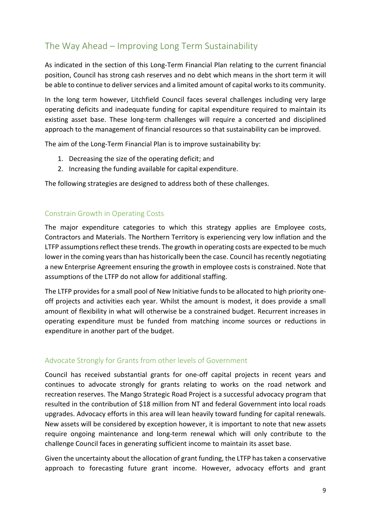# <span id="page-8-0"></span>The Way Ahead – Improving Long Term Sustainability

As indicated in the section of this Long-Term Financial Plan relating to the current financial position, Council has strong cash reserves and no debt which means in the short term it will be able to continue to deliver services and a limited amount of capital works to its community.

In the long term however, Litchfield Council faces several challenges including very large operating deficits and inadequate funding for capital expenditure required to maintain its existing asset base. These long-term challenges will require a concerted and disciplined approach to the management of financial resources so that sustainability can be improved.

The aim of the Long-Term Financial Plan is to improve sustainability by:

- 1. Decreasing the size of the operating deficit; and
- 2. Increasing the funding available for capital expenditure.

<span id="page-8-1"></span>The following strategies are designed to address both of these challenges.

#### Constrain Growth in Operating Costs

The major expenditure categories to which this strategy applies are Employee costs, Contractors and Materials. The Northern Territory is experiencing very low inflation and the LTFP assumptions reflect these trends. The growth in operating costs are expected to be much lower in the coming years than has historically been the case. Council has recently negotiating a new Enterprise Agreement ensuring the growth in employee costs is constrained. Note that assumptions of the LTFP do not allow for additional staffing.

The LTFP provides for a small pool of New Initiative funds to be allocated to high priority oneoff projects and activities each year. Whilst the amount is modest, it does provide a small amount of flexibility in what will otherwise be a constrained budget. Recurrent increases in operating expenditure must be funded from matching income sources or reductions in expenditure in another part of the budget.

#### <span id="page-8-2"></span>Advocate Strongly for Grants from other levels of Government

Council has received substantial grants for one-off capital projects in recent years and continues to advocate strongly for grants relating to works on the road network and recreation reserves. The Mango Strategic Road Project is a successful advocacy program that resulted in the contribution of \$18 million from NT and federal Government into local roads upgrades. Advocacy efforts in this area will lean heavily toward funding for capital renewals. New assets will be considered by exception however, it is important to note that new assets require ongoing maintenance and long-term renewal which will only contribute to the challenge Council faces in generating sufficient income to maintain its asset base.

Given the uncertainty about the allocation of grant funding, the LTFP has taken a conservative approach to forecasting future grant income. However, advocacy efforts and grant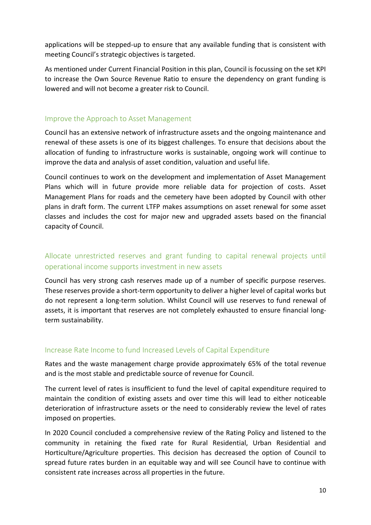applications will be stepped-up to ensure that any available funding that is consistent with meeting Council's strategic objectives is targeted.

As mentioned under Current Financial Position in this plan, Council is focussing on the set KPI to increase the Own Source Revenue Ratio to ensure the dependency on grant funding is lowered and will not become a greater risk to Council.

#### <span id="page-9-0"></span>Improve the Approach to Asset Management

Council has an extensive network of infrastructure assets and the ongoing maintenance and renewal of these assets is one of its biggest challenges. To ensure that decisions about the allocation of funding to infrastructure works is sustainable, ongoing work will continue to improve the data and analysis of asset condition, valuation and useful life.

Council continues to work on the development and implementation of Asset Management Plans which will in future provide more reliable data for projection of costs. Asset Management Plans for roads and the cemetery have been adopted by Council with other plans in draft form. The current LTFP makes assumptions on asset renewal for some asset classes and includes the cost for major new and upgraded assets based on the financial capacity of Council.

### <span id="page-9-1"></span>Allocate unrestricted reserves and grant funding to capital renewal projects until operational income supports investment in new assets

Council has very strong cash reserves made up of a number of specific purpose reserves. These reserves provide a short-term opportunity to deliver a higher level of capital works but do not represent a long-term solution. Whilst Council will use reserves to fund renewal of assets, it is important that reserves are not completely exhausted to ensure financial longterm sustainability.

#### <span id="page-9-2"></span>Increase Rate Income to fund Increased Levels of Capital Expenditure

Rates and the waste management charge provide approximately 65% of the total revenue and is the most stable and predictable source of revenue for Council.

The current level of rates is insufficient to fund the level of capital expenditure required to maintain the condition of existing assets and over time this will lead to either noticeable deterioration of infrastructure assets or the need to considerably review the level of rates imposed on properties.

In 2020 Council concluded a comprehensive review of the Rating Policy and listened to the community in retaining the fixed rate for Rural Residential, Urban Residential and Horticulture/Agriculture properties. This decision has decreased the option of Council to spread future rates burden in an equitable way and will see Council have to continue with consistent rate increases across all properties in the future.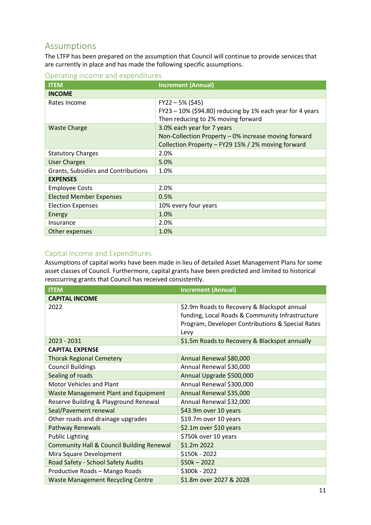### <span id="page-10-0"></span>Assumptions

The LTFP has been prepared on the assumption that Council will continue to provide services that are currently in place and has made the following specific assumptions.

<span id="page-10-1"></span>Operating income and expenditures

| <b>ITEM</b>                                | <b>Increment (Annual)</b>                                                                          |
|--------------------------------------------|----------------------------------------------------------------------------------------------------|
| <b>INCOME</b>                              |                                                                                                    |
| Rates Income                               | $FY22 - 5% (545)$                                                                                  |
|                                            | $FY23 - 10\%$ (\$94.80) reducing by 1% each year for 4 years<br>Then reducing to 2% moving forward |
| <b>Waste Charge</b>                        | 3.0% each year for 7 years                                                                         |
|                                            | Non-Collection Property - 0% increase moving forward                                               |
|                                            | Collection Property - FY29 15% / 2% moving forward                                                 |
| <b>Statutory Charges</b>                   | 2.0%                                                                                               |
| <b>User Charges</b>                        | 5.0%                                                                                               |
| <b>Grants, Subsidies and Contributions</b> | 1.0%                                                                                               |
| <b>EXPENSES</b>                            |                                                                                                    |
| <b>Employee Costs</b>                      | 2.0%                                                                                               |
| <b>Elected Member Expenses</b>             | 0.5%                                                                                               |
| <b>Election Expenses</b>                   | 10% every four years                                                                               |
| Energy                                     | 1.0%                                                                                               |
| Insurance                                  | 2.0%                                                                                               |
| Other expenses                             | 1.0%                                                                                               |

#### <span id="page-10-2"></span>Capital Income and Expenditures

Assumptions of capital works have been made in lieu of detailed Asset Management Plans for some asset classes of Council. Furthermore, capital grants have been predicted and limited to historical reoccurring grants that Council has received consistently.

| <b>ITEM</b>                                          | <b>Increment (Annual)</b>                                                                      |
|------------------------------------------------------|------------------------------------------------------------------------------------------------|
| <b>CAPITAL INCOME</b>                                |                                                                                                |
| 2022                                                 | \$2.9m Roads to Recovery & Blackspot annual<br>funding, Local Roads & Community Infrastructure |
|                                                      | Program, Developer Contributions & Special Rates<br>Levy                                       |
| 2023 - 2031                                          | \$1.5m Roads to Recovery & Blackspot annually                                                  |
| <b>CAPITAL EXPENSE</b>                               |                                                                                                |
| <b>Thorak Regional Cemetery</b>                      | Annual Renewal \$80,000                                                                        |
| <b>Council Buildings</b>                             | Annual Renewal \$30,000                                                                        |
| Sealing of roads                                     | Annual Upgrade \$500,000                                                                       |
| Motor Vehicles and Plant                             | Annual Renewal \$300,000                                                                       |
| <b>Waste Management Plant and Equipment</b>          | Annual Renewal \$35,000                                                                        |
| Reserve Building & Playground Renewal                | Annual Renewal \$32,000                                                                        |
| Seal/Pavement renewal                                | \$43.9m over 10 years                                                                          |
| Other roads and drainage upgrades                    | \$19.7m over 10 years                                                                          |
| <b>Pathway Renewals</b>                              | \$2.1m over \$10 years                                                                         |
| <b>Public Lighting</b>                               | \$750k over 10 years                                                                           |
| <b>Community Hall &amp; Council Building Renewal</b> | \$1.2m 2022                                                                                    |
| Mira Square Development                              | \$150k - 2022                                                                                  |
| Road Safety - School Safety Audits                   | $$50k - 2022$                                                                                  |
| Productive Roads - Mango Roads                       | \$300k - 2022                                                                                  |
| <b>Waste Management Recycling Centre</b>             | \$1.8m over 2027 & 2028                                                                        |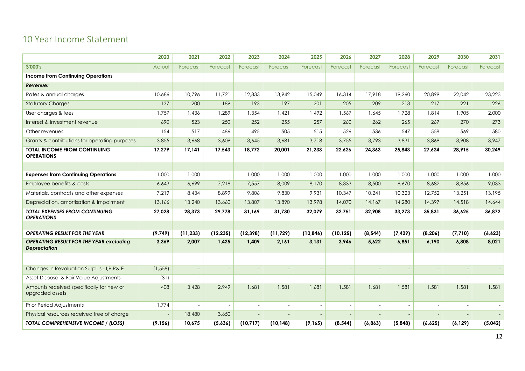### 10 Year Income Statement

<span id="page-11-0"></span>

|                                                                       | 2020                     | 2021                     | 2022           | 2023      | 2024                     | 2025                     | 2026                     | 2027                     | 2028                     | 2029           | 2030                     | 2031     |
|-----------------------------------------------------------------------|--------------------------|--------------------------|----------------|-----------|--------------------------|--------------------------|--------------------------|--------------------------|--------------------------|----------------|--------------------------|----------|
| <b>S'000's</b>                                                        | Actual                   | Forecast                 | Forecast       | Forecast  | Forecast                 | Forecast                 | Forecast                 | Forecast                 | Forecast                 | Forecast       | Forecast                 | Forecast |
| <b>Income from Continuing Operations</b>                              |                          |                          |                |           |                          |                          |                          |                          |                          |                |                          |          |
| Revenue:                                                              |                          |                          |                |           |                          |                          |                          |                          |                          |                |                          |          |
| Rates & annual charges                                                | 10,686                   | 10.796                   | 11.721         | 12,833    | 13.942                   | 15,049                   | 16.314                   | 17.918                   | 19,260                   | 20,899         | 22,042                   | 23,223   |
| <b>Statutory Charges</b>                                              | 137                      | 200                      | 189            | 193       | 197                      | 201                      | 205                      | 209                      | 213                      | 217            | 221                      | 226      |
| User charges & fees                                                   | 1.757                    | 1.436                    | 1.289          | 1.354     | 1.421                    | 1.492                    | 1.567                    | 1.645                    | 1.728                    | 1,814          | 1,905                    | 2,000    |
| Interest & investment revenue                                         | 690                      | 523                      | 250            | 252       | 255                      | 257                      | 260                      | 262                      | 265                      | 267            | 270                      | 273      |
| Other revenues                                                        | 154                      | 517                      | 486            | 495       | 505                      | 515                      | 526                      | 536                      | 547                      | 558            | 569                      | 580      |
| Grants & contributions for operating purposes                         | 3,855                    | 3,668                    | 3,609          | 3,645     | 3,681                    | 3,718                    | 3,755                    | 3.793                    | 3,831                    | 3,869          | 3,908                    | 3,947    |
| <b>TOTAL INCOME FROM CONTINUING</b><br><b>OPERATIONS</b>              | 17,279                   | 17,141                   | 17,543         | 18,772    | 20,001                   | 21,233                   | 22,626                   | 24,363                   | 25,843                   | 27,624         | 28,915                   | 30,249   |
|                                                                       |                          |                          |                |           |                          |                          |                          |                          |                          |                |                          |          |
| <b>Expenses from Continuing Operations</b>                            | 1.000                    | 1.000                    |                | 1.000     | 1.000                    | 1.000                    | 1.000                    | 1.000                    | 1.000                    | 1.000          | 1.000                    | 1.000    |
| Employee benefits & costs                                             | 6,643                    | 6,699                    | 7,218          | 7.557     | 8,009                    | 8,170                    | 8,333                    | 8,500                    | 8,670                    | 8,682          | 8,856                    | 9,033    |
| Materials, contracts and other expenses                               | 7.219                    | 8.434                    | 8.899          | 9,806     | 9,830                    | 9.931                    | 10.347                   | 10,241                   | 10,323                   | 12.752         | 13,251                   | 13,195   |
| Depreciation, amortisation & Impairment                               | 13,166                   | 13,240                   | 13,660         | 13,807    | 13,890                   | 13,978                   | 14,070                   | 14,167                   | 14,280                   | 14,397         | 14,518                   | 14,644   |
| <b>TOTAL EXPENSES FROM CONTINUING</b><br><b>OPERATIONS</b>            | 27.028                   | 28.373                   | 29.778         | 31.169    | 31.730                   | 32.079                   | 32.751                   | 32,908                   | 33.273                   | 35.831         | 36.625                   | 36.872   |
|                                                                       |                          |                          |                |           |                          |                          |                          |                          |                          |                |                          |          |
| <b>OPERATING RESULT FOR THE YEAR</b>                                  | (9,749)                  | (11, 233)                | (12, 235)      | (12, 398) | (11, 729)                | (10, 846)                | (10, 125)                | (8, 544)                 | (7, 429)                 | (8, 206)       | (7, 710)                 | (6,623)  |
| <b>OPERATING RESULT FOR THE YEAR excluding</b><br><b>Depreciation</b> | 3,369                    | 2,007                    | 1,425          | 1,409     | 2,161                    | 3,131                    | 3,946                    | 5,622                    | 6,851                    | 6,190          | 6,808                    | 8,021    |
|                                                                       |                          |                          |                |           |                          |                          |                          |                          |                          |                |                          |          |
| Changes in Revaluation Surplus - I, P, P& E                           | (1, 558)                 | $\overline{\phantom{a}}$ | $\overline{a}$ |           | $\sim$                   | $\overline{\phantom{a}}$ | $\overline{\phantom{a}}$ | $\overline{\phantom{a}}$ | $\overline{\phantom{a}}$ | $\overline{a}$ | $\overline{\phantom{a}}$ |          |
| Asset Disposal & Fair Value Adjustments                               | (31)                     | $\sim$                   |                |           | $\overline{a}$           | $\overline{a}$           |                          | $\overline{a}$           |                          |                |                          |          |
| Amounts received specifically for new or<br>upgraded assets           | 408                      | 3,428                    | 2,949          | 1,681     | 1,581                    | 1,681                    | 1,581                    | 1,681                    | 1,581                    | 1,581          | 1,581                    | 1,581    |
| Prior Period Adjustments                                              | 1,774                    | $\overline{\phantom{a}}$ |                |           | $\overline{\phantom{a}}$ | $\overline{\phantom{a}}$ | $\overline{a}$           | $\sim$                   |                          |                |                          |          |
| Physical resources received free of charge                            | $\overline{\phantom{a}}$ | 18,480                   | 3,650          |           |                          | $\overline{a}$           |                          | $\overline{a}$           |                          |                |                          |          |
| TOTAL COMPREHENSIVE INCOME / (LOSS)                                   | (9, 156)                 | 10,675                   | (5,636)        | (10, 717) | (10, 148)                | (9, 165)                 | (8, 544)                 | (6, 863)                 | (5,848)                  | (6,625)        | (6, 129)                 | (5,042)  |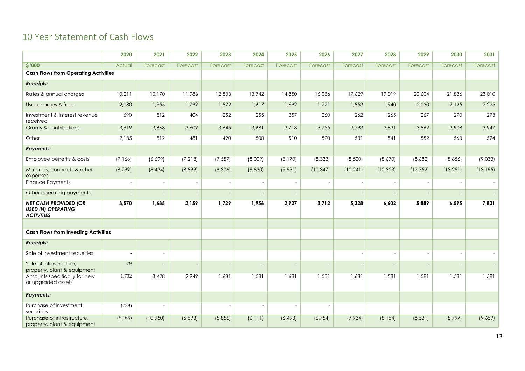# 10 Year Statement of Cash Flows

<span id="page-12-0"></span>

|                                                                                | 2020                     | 2021                     | 2022                     | 2023                     | 2024                     | 2025                     | 2026      | 2027                     | 2028                     | 2029      | 2030      | 2031      |
|--------------------------------------------------------------------------------|--------------------------|--------------------------|--------------------------|--------------------------|--------------------------|--------------------------|-----------|--------------------------|--------------------------|-----------|-----------|-----------|
| \$'000                                                                         | Actual                   | Forecast                 | Forecast                 | Forecast                 | Forecast                 | Forecast                 | Forecast  | Forecast                 | Forecast                 | Forecast  | Forecast  | Forecast  |
| <b>Cash Flows from Operating Activities</b>                                    |                          |                          |                          |                          |                          |                          |           |                          |                          |           |           |           |
| <b>Receipts:</b>                                                               |                          |                          |                          |                          |                          |                          |           |                          |                          |           |           |           |
| Rates & annual charges                                                         | 10,211                   | 10,170                   | 11,983                   | 12,833                   | 13,742                   | 14,850                   | 16,086    | 17,629                   | 19,019                   | 20,604    | 21,836    | 23,010    |
| User charges & fees                                                            | 2,080                    | 1,955                    | 1,799                    | 1,872                    | 1,617                    | 1,692                    | 1,771     | 1,853                    | 1.940                    | 2,030     | 2,125     | 2,225     |
| Investment & interest revenue<br>received                                      | 690                      | 512                      | 404                      | 252                      | 255                      | 257                      | 260       | 262                      | 265                      | 267       | 270       | 273       |
| <b>Grants &amp; contributions</b>                                              | 3,919                    | 3,668                    | 3,609                    | 3,645                    | 3,681                    | 3,718                    | 3,755     | 3,793                    | 3,831                    | 3,869     | 3,908     | 3,947     |
| Other                                                                          | 2,135                    | 512                      | 481                      | 490                      | 500                      | 510                      | 520       | 531                      | 541                      | 552       | 563       | 574       |
| <b>Payments:</b>                                                               |                          |                          |                          |                          |                          |                          |           |                          |                          |           |           |           |
| Employee benefits & costs                                                      | (7,166)                  | (6,699)                  | (7, 218)                 | (7, 557)                 | (8,009)                  | (8, 170)                 | (8, 333)  | (8,500)                  | (8,670)                  | (8,682)   | (8,856)   | (9,033)   |
| Materials, contracts & other<br>expenses                                       | (8, 299)                 | (8, 434)                 | (8,899)                  | (9,806)                  | (9,830)                  | (9,931)                  | (10, 347) | (10, 241)                | (10, 323)                | (12, 752) | (13, 251) | (13, 195) |
| <b>Finance Payments</b>                                                        | $\overline{a}$           | $\overline{a}$           | $\sim$                   | $\overline{a}$           | $\overline{a}$           | $\sim$                   |           | $\overline{a}$           | $\sim$                   |           |           |           |
| Other operating payments                                                       | $\overline{\phantom{a}}$ | $\overline{\phantom{a}}$ | $\overline{\phantom{a}}$ | $\overline{\phantom{a}}$ | $\overline{\phantom{a}}$ | $\overline{\phantom{a}}$ |           | $\overline{\phantom{a}}$ | $\overline{\phantom{0}}$ | $\sim$    |           |           |
| <b>NET CASH PROVIDED (OR</b><br><b>USED IN) OPERATING</b><br><b>ACTIVITIES</b> | 3,570                    | 1,685                    | 2,159                    | 1,729                    | 1,956                    | 2,927                    | 3,712     | 5,328                    | 6,602                    | 5,889     | 6,595     | 7,801     |
|                                                                                |                          |                          |                          |                          |                          |                          |           |                          |                          |           |           |           |
| <b>Cash Flows from Investing Activities</b>                                    |                          |                          |                          |                          |                          |                          |           |                          |                          |           |           |           |
| <b>Receipts:</b>                                                               |                          |                          |                          |                          |                          |                          |           |                          |                          |           |           |           |
| Sale of investment securities                                                  |                          |                          |                          |                          |                          |                          |           | $\overline{a}$           | $\overline{\phantom{0}}$ |           |           |           |
| Sale of infrastructure,<br>property, plant & equipment                         | 79                       |                          |                          | $\overline{\phantom{a}}$ |                          |                          |           |                          | $\overline{\phantom{a}}$ |           |           |           |
| Amounts specifically for new<br>or upgraded assets                             | 1,792                    | 3,428                    | 2,949                    | 1,681                    | 1,581                    | 1,681                    | 1,581     | 1,681                    | 1,581                    | 1,581     | 1,581     | 1,581     |
| <b>Payments:</b>                                                               |                          |                          |                          |                          |                          |                          |           |                          |                          |           |           |           |
| Purchase of investment<br>securities                                           | (729)                    |                          |                          | $\overline{a}$           |                          |                          |           |                          |                          |           |           |           |
| Purchase of infrastructure,<br>property, plant & equipment                     | (5,166)                  | (10, 950)                | (6, 593)                 | (5,856)                  | (6, 111)                 | (6, 493)                 | (6, 754)  | (7,934)                  | (8, 154)                 | (8, 531)  | (8,797)   | (9,659)   |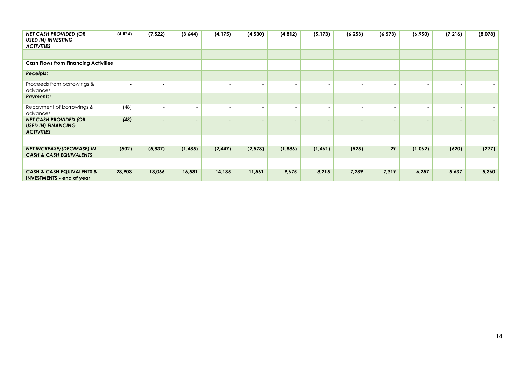| <b>NET CASH PROVIDED (OR</b><br><b>USED IN) INVESTING</b><br><b>ACTIVITIES</b> | (4,024) | (7, 522)                 | (3,644)  | (4, 175)                 | (4, 530) | (4, 812)                 | (5, 173)       | (6, 253)                 | (6, 573)                 | (6,950) | (7, 216) | (8,078) |
|--------------------------------------------------------------------------------|---------|--------------------------|----------|--------------------------|----------|--------------------------|----------------|--------------------------|--------------------------|---------|----------|---------|
|                                                                                |         |                          |          |                          |          |                          |                |                          |                          |         |          |         |
| <b>Cash Flows from Financing Activities</b>                                    |         |                          |          |                          |          |                          |                |                          |                          |         |          |         |
| <b>Receipts:</b>                                                               |         |                          |          |                          |          |                          |                |                          |                          |         |          |         |
| Proceeds from borrowings &<br>advances                                         |         |                          |          | $\overline{\phantom{a}}$ |          |                          |                |                          | $\overline{\phantom{0}}$ |         |          |         |
| <b>Payments:</b>                                                               |         |                          |          |                          |          |                          |                |                          |                          |         |          |         |
| Repayment of borrowings &<br>advances                                          | (48)    |                          | $\sim$   | $\overline{\phantom{a}}$ |          | $\overline{\phantom{0}}$ |                | $\overline{\phantom{0}}$ | $\overline{\phantom{a}}$ |         |          |         |
| <b>NET CASH PROVIDED (OR</b><br><b>USED IN) FINANCING</b><br><b>ACTIVITIES</b> | (48)    | $\overline{\phantom{0}}$ |          | $\overline{\phantom{0}}$ |          |                          | $\blacksquare$ |                          | $\overline{\phantom{0}}$ |         |          |         |
|                                                                                |         |                          |          |                          |          |                          |                |                          |                          |         |          |         |
| <b>NET INCREASE/(DECREASE) IN</b><br><b>CASH &amp; CASH EQUIVALENTS</b>        | (502)   | (5,837)                  | (1, 485) | (2, 447)                 | (2, 573) | (1,886)                  | (1, 461)       | (925)                    | 29                       | (1,062) | (620)    | (277)   |
|                                                                                |         |                          |          |                          |          |                          |                |                          |                          |         |          |         |
| <b>CASH &amp; CASH EQUIVALENTS &amp;</b><br><b>INVESTMENTS - end of year</b>   | 23,903  | 18,066                   | 16,581   | 14,135                   | 11,561   | 9,675                    | 8,215          | 7,289                    | 7,319                    | 6,257   | 5,637    | 5,360   |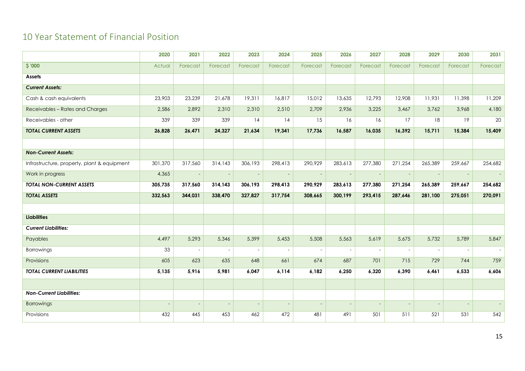# 10 Year Statement of Financial Position

<span id="page-14-0"></span>

|                                             | 2020    | 2021                     | 2022                     | 2023                     | 2024                     | 2025                     | 2026     | 2027     | 2028     | 2029                     | 2030     | 2031     |
|---------------------------------------------|---------|--------------------------|--------------------------|--------------------------|--------------------------|--------------------------|----------|----------|----------|--------------------------|----------|----------|
| \$ '000                                     | Actual  | Forecast                 | Forecast                 | Forecast                 | Forecast                 | Forecast                 | Forecast | Forecast | Forecast | Forecast                 | Forecast | Forecast |
| Assets                                      |         |                          |                          |                          |                          |                          |          |          |          |                          |          |          |
| <b>Current Assets:</b>                      |         |                          |                          |                          |                          |                          |          |          |          |                          |          |          |
| Cash & cash equivalents                     | 23,903  | 23,239                   | 21,678                   | 19,311                   | 16,817                   | 15,012                   | 13,635   | 12,793   | 12,908   | 11,931                   | 11,398   | 11,209   |
| Receivables - Rates and Charges             | 2,586   | 2,892                    | 2,310                    | 2,310                    | 2,510                    | 2,709                    | 2,936    | 3,225    | 3,467    | 3,762                    | 3,968    | 4,180    |
| Receivables - other                         | 339     | 339                      | 339                      | 14                       | 14                       | 15                       | 16       | 16       | 17       | 18                       | 19       | 20       |
| <b>TOTAL CURRENT ASSETS</b>                 | 26,828  | 26,471                   | 24,327                   | 21,634                   | 19,341                   | 17,736                   | 16,587   | 16,035   | 16,392   | 15,711                   | 15,384   | 15,409   |
|                                             |         |                          |                          |                          |                          |                          |          |          |          |                          |          |          |
| <b>Non-Current Assets:</b>                  |         |                          |                          |                          |                          |                          |          |          |          |                          |          |          |
| Infrastructure, property, plant & equipment | 301,370 | 317,560                  | 314,143                  | 306,193                  | 298,413                  | 290,929                  | 283,613  | 277,380  | 271,254  | 265,389                  | 259,667  | 254,682  |
| Work in progress                            | 4,365   | $\sim$                   |                          | $\overline{\phantom{a}}$ | $\overline{\phantom{a}}$ | $\overline{\phantom{a}}$ |          | $\sim$   |          | $\sim$                   |          |          |
| <b>TOTAL NON-CURRENT ASSETS</b>             | 305,735 | 317,560                  | 314,143                  | 306,193                  | 298,413                  | 290,929                  | 283,613  | 277,380  | 271,254  | 265,389                  | 259,667  | 254,682  |
| <b>TOTAL ASSETS</b>                         | 332,563 | 344,031                  | 338,470                  | 327,827                  | 317,754                  | 308,665                  | 300,199  | 293,415  | 287,646  | 281,100                  | 275,051  | 270,091  |
|                                             |         |                          |                          |                          |                          |                          |          |          |          |                          |          |          |
| <b>Liabilities</b>                          |         |                          |                          |                          |                          |                          |          |          |          |                          |          |          |
| <b>Current Liabilities:</b>                 |         |                          |                          |                          |                          |                          |          |          |          |                          |          |          |
| Payables                                    | 4,497   | 5,293                    | 5,346                    | 5,399                    | 5,453                    | 5,508                    | 5,563    | 5,619    | 5,675    | 5,732                    | 5,789    | 5,847    |
| Borrowings                                  | 33      | $\sim$                   |                          |                          | $\sim$                   |                          |          | $\sim$   |          | $\overline{a}$           |          |          |
| Provisions                                  | 605     | 623                      | 635                      | 648                      | 661                      | 674                      | 687      | 701      | 715      | 729                      | 744      | 759      |
| <b>TOTAL CURRENT LIABILITIES</b>            | 5,135   | 5,916                    | 5,981                    | 6,047                    | 6,114                    | 6,182                    | 6,250    | 6,320    | 6,390    | 6,461                    | 6,533    | 6,606    |
|                                             |         |                          |                          |                          |                          |                          |          |          |          |                          |          |          |
| <b>Non-Current Liabilities:</b>             |         |                          |                          |                          |                          |                          |          |          |          |                          |          |          |
| Borrowings                                  |         | $\overline{\phantom{a}}$ | $\overline{\phantom{a}}$ | $\overline{\phantom{a}}$ | $\overline{\phantom{a}}$ |                          |          | $\sim$   |          | $\overline{\phantom{a}}$ |          |          |
| Provisions                                  | 432     | 445                      | 453                      | 462                      | 472                      | 481                      | 491      | 501      | 511      | 521                      | 531      | 542      |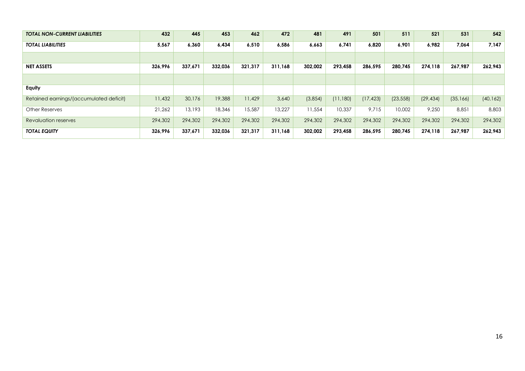| <b>TOTAL NON-CURRENT LIABILITIES</b>    | 432     | 445     | 453     | 462     | 472     | 481     | 491      | 501       | 511       | 521       | 531       | 542       |
|-----------------------------------------|---------|---------|---------|---------|---------|---------|----------|-----------|-----------|-----------|-----------|-----------|
| <b>TOTAL LIABILITIES</b>                | 5,567   | 6,360   | 6,434   | 6,510   | 6,586   | 6,663   | 6,741    | 6,820     | 6,901     | 6,982     | 7,064     | 7,147     |
|                                         |         |         |         |         |         |         |          |           |           |           |           |           |
| <b>NET ASSETS</b>                       | 326.996 | 337,671 | 332,036 | 321,317 | 311.168 | 302,002 | 293.458  | 286.595   | 280.745   | 274.118   | 267,987   | 262.943   |
|                                         |         |         |         |         |         |         |          |           |           |           |           |           |
| Equity                                  |         |         |         |         |         |         |          |           |           |           |           |           |
| Retained earnings/(accumulated deficit) | 11,432  | 30,176  | 19,388  | 11,429  | 3,640   | (3,854) | (11,180) | (17, 423) | (23, 558) | (29, 434) | (35, 166) | (40, 162) |
| <b>Other Reserves</b>                   | 21,262  | 13,193  | 18,346  | 15,587  | 13,227  | 11,554  | 10,337   | 9,715     | 10,002    | 9,250     | 8,851     | 8,803     |
| Revaluation reserves                    | 294,302 | 294,302 | 294,302 | 294,302 | 294,302 | 294,302 | 294,302  | 294,302   | 294,302   | 294,302   | 294,302   | 294,302   |
| <b>TOTAL EQUITY</b>                     | 326,996 | 337,671 | 332,036 | 321,317 | 311,168 | 302,002 | 293,458  | 286,595   | 280,745   | 274,118   | 267,987   | 262,943   |